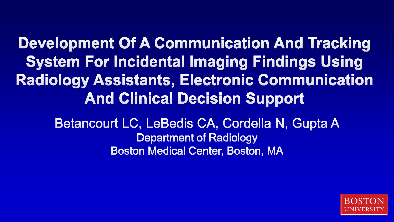**Development Of A Communication And Tracking System For Incidental Imaging Findings Using Radiology Assistants, Electronic Communication And Clinical Decision Support** 

> Betancourt LC, LeBedis CA, Cordella N, Gupta A **Department of Radiology Boston Medical Center, Boston, MA**

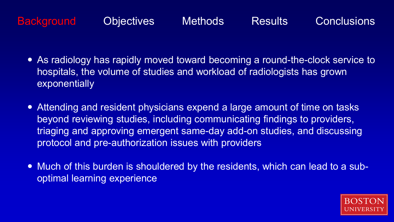- As radiology has rapidly moved toward becoming a round-the-clock service to hospitals, the volume of studies and workload of radiologists has grown exponentially
- Attending and resident physicians expend a large amount of time on tasks beyond reviewing studies, including communicating findings to providers, triaging and approving emergent same-day add-on studies, and discussing protocol and pre-authorization issues with providers
- Much of this burden is shouldered by the residents, which can lead to a suboptimal learning experience

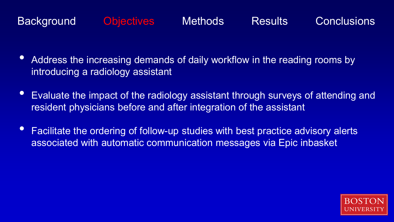- Address the increasing demands of daily workflow in the reading rooms by introducing a radiology assistant
- Evaluate the impact of the radiology assistant through surveys of attending and resident physicians before and after integration of the assistant
- Facilitate the ordering of follow-up studies with best practice advisory alerts associated with automatic communication messages via Epic inbasket

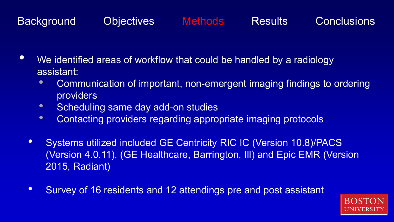- We identified areas of workflow that could be handled by a radiology assistant:
	- Communication of important, non-emergent imaging findings to ordering providers
	- Scheduling same day add-on studies
	- Contacting providers regarding appropriate imaging protocols
	- Systems utilized included GE Centricity RIC IC (Version 10.8)/PACS (Version 4.0.11), (GE Healthcare, Barrington, Ill) and Epic EMR (Version 2015, Radiant)
	- Survey of 16 residents and 12 attendings pre and post assistant

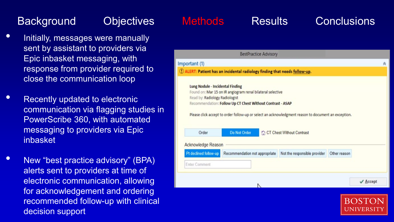- Initially, messages were manually sent by assistant to providers via Epic inbasket messaging, with response from provider required to close the communication loop
- Recently updated to electronic communication via flagging studies in PowerScribe 360, with automated messaging to providers via Epic inbasket
- New "best practice advisory" (BPA) alerts sent to providers at time of electronic communication, allowing for acknowledgement and ordering recommended follow-up with clinical decision support

### **BestPractice Advisory** Important (1) 1) ALERT: Patient has an incidental radiology finding that needs follow-up. **Lung Nodule - Incidental Finding** Found on: Mar 15 on IR angiogram renal bilateral selective Read by: Radiology Radiologist Recommendation: Follow Up CT Chest Without Contrast - ASAP Please click accept to order follow-up or select an acknowledgment reason to document an exception. CT Chest Without Contrast Order **Do Not Order Acknowledge Reason** Pt declined follow-up Recommendation not appropriate Not the responsible provider Other reason **Enter Comment**  $\checkmark$  Accept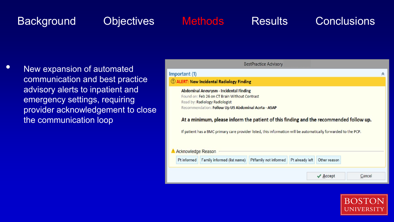• New expansion of automated communication and best practice advisory alerts to inpatient and emergency settings, requiring provider acknowledgement to close the communication loop

|                                                                                                                                                                                                                                                                                                                                                                                                                             |                                             | <b>BestPractice Advisory</b> |                 |                        |        |   |
|-----------------------------------------------------------------------------------------------------------------------------------------------------------------------------------------------------------------------------------------------------------------------------------------------------------------------------------------------------------------------------------------------------------------------------|---------------------------------------------|------------------------------|-----------------|------------------------|--------|---|
| Important (1)                                                                                                                                                                                                                                                                                                                                                                                                               |                                             |                              |                 |                        |        | 仌 |
|                                                                                                                                                                                                                                                                                                                                                                                                                             | (!) ALERT: New Incidental Radiology Finding |                              |                 |                        |        |   |
| <b>Abdominal Aneurysm - Incidental Finding</b><br>Found on: Feb 26 on CT Brain Without Contrast<br>Read by: Radiology Radiologist<br>Recommendation: Follow Up US Abdominal Aorta - ASAP<br>At a minimum, please inform the patient of this finding and the recommended follow up.<br>If patient has a BMC primary care provider listed, this information will be automatically forwarded to the PCP.<br>Acknowledge Reason |                                             |                              |                 |                        |        |   |
| Pt informed                                                                                                                                                                                                                                                                                                                                                                                                                 | Family informed (list name)                 | Pt/family not informed       | Pt already left | Other reason           |        |   |
|                                                                                                                                                                                                                                                                                                                                                                                                                             |                                             |                              |                 | $\sqrt{\text{Accept}}$ | Cancel |   |

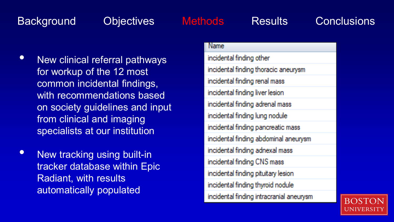- New clinical referral pathways for workup of the 12 most common incidental findings, with recommendations based on society guidelines and input from clinical and imaging specialists at our institution
- New tracking using built-in tracker database within Epic Radiant, with results automatically populated

### Name

incidental finding other incidental finding thoracic aneurysm incidental finding renal mass incidental finding liver lesion incidental finding adrenal mass incidental finding lung nodule incidental finding pancreatic mass incidental finding abdominal aneurysm incidental finding adnexal mass incidental finding CNS mass incidental finding pituitary lesion incidental finding thyroid nodule incidental finding intracranial aneurysm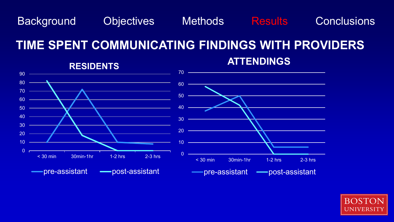## **TIME SPENT COMMUNICATING FINDINGS WITH PROVIDERS**



### **ATTENDINGS**

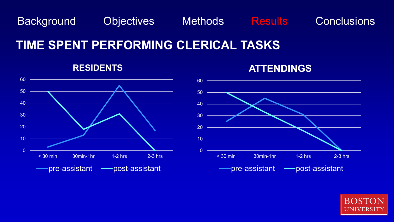## **TIME SPENT PERFORMING CLERICAL TASKS**



### **ATTENDINGS**